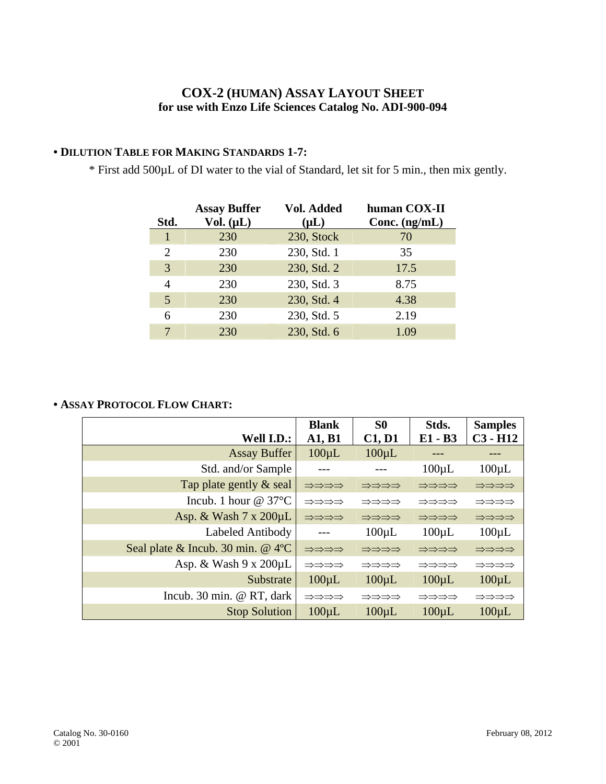## **COX-2 (HUMAN) ASSAY LAYOUT SHEET for use with Enzo Life Sciences Catalog No. ADI-900-094**

## **• DILUTION TABLE FOR MAKING STANDARDS 1-7:**

\* First add 500µL of DI water to the vial of Standard, let sit for 5 min., then mix gently.

| Std.                        | <b>Assay Buffer</b><br>Vol. $(\mu L)$ | Vol. Added<br>$(\mu L)$ | human COX-II<br>Conc. $(ng/mL)$ |
|-----------------------------|---------------------------------------|-------------------------|---------------------------------|
| 1                           | 230                                   | 230, Stock              | 70                              |
| $\mathcal{D}_{\mathcal{L}}$ | 230                                   | 230, Std. 1             | 35                              |
| 3                           | 230                                   | 230, Std. 2             | 17.5                            |
| 4                           | 230                                   | 230, Std. 3             | 8.75                            |
| 5                           | 230                                   | 230, Std. 4             | 4.38                            |
| 6                           | 230                                   | 230, Std. 5             | 2.19                            |
| 7                           | 230                                   | 230, Std. 6             | 1.09                            |

## **• ASSAY PROTOCOL FLOW CHART:**

| Well I.D.:                             | <b>Blank</b><br>A1, B1 | S <sub>0</sub><br>C1, D1 | Stds.<br>E1 - B3 | <b>Samples</b><br>$C3 - H12$ |
|----------------------------------------|------------------------|--------------------------|------------------|------------------------------|
| <b>Assay Buffer</b>                    | $100 \mu L$            | $100 \mu L$              |                  |                              |
| Std. and/or Sample                     |                        |                          | $100 \mu L$      | $100 \mu L$                  |
| Tap plate gently & seal                | ⇒⇒⇒⇒                   | ⇒⇒⇒⇒                     | ⇒⇒⇒⇒             | ⇒⇒⇒⇒                         |
| Incub. 1 hour $@37^{\circ}C$           | ⇒⇒⇒⇒                   | ⇒⇒⇒⇒                     | ⇒⇒⇒⇒             | ⇒⇒⇒⇒                         |
| Asp. & Wash $7 \times 200 \mu L$       | ⇒⇒⇒⇒                   | ⇒⇒⇒⇒                     | ⇒⇒⇒⇒             | ⇒⇒⇒⇒                         |
| Labeled Antibody                       |                        | $100 \mu L$              | $100 \mu L$      | $100 \mu L$                  |
| Seal plate & Incub. 30 min. $@$ 4 $°C$ | ⇒⇒⇒⇒                   | ⇒⇒⇒⇒                     | ⇒⇒⇒⇒             | ⇒⇒⇒⇒                         |
| Asp. & Wash $9 \times 200 \mu L$       | ⇒⇒⇒⇒                   | ⇒⇒⇒⇒                     | ⇒⇒⇒⇒             | ⇒⇒⇒⇒                         |
| Substrate                              | $100 \mu L$            | $100 \mu L$              | $100 \mu L$      | $100 \mu L$                  |
| Incub. 30 min. @ RT, dark              | ⇒⇒⇒⇒                   | ⇒⇒⇒⇒                     | ⇒⇒⇒⇒             | ⇒⇒⇒⇒                         |
| <b>Stop Solution</b>                   | $100 \mu L$            | $100 \mu L$              | $100 \mu L$      | $100 \mu L$                  |